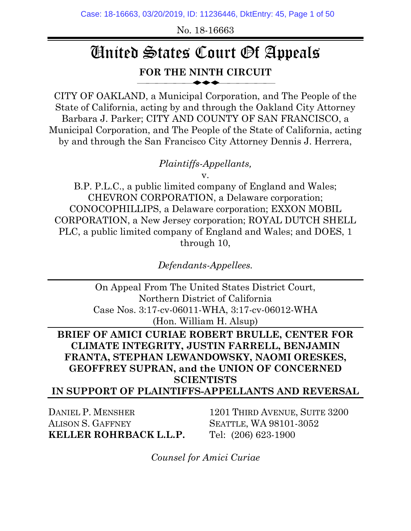No. 18-16663

# United States Court Of Appeals **FOR THE NINTH CIRCUIT**

⎯⎯⎯⎯⎯⎯◆◆◆⎯⎯⎯⎯⎯⎯

CITY OF OAKLAND, a Municipal Corporation, and The People of the State of California, acting by and through the Oakland City Attorney Barbara J. Parker; CITY AND COUNTY OF SAN FRANCISCO, a Municipal Corporation, and The People of the State of California, acting by and through the San Francisco City Attorney Dennis J. Herrera,

*Plaintiffs-Appellants,*

v.

B.P. P.L.C., a public limited company of England and Wales; CHEVRON CORPORATION, a Delaware corporation; CONOCOPHILLIPS, a Delaware corporation; EXXON MOBIL CORPORATION, a New Jersey corporation; ROYAL DUTCH SHELL PLC, a public limited company of England and Wales; and DOES, 1 through 10,

*Defendants-Appellees.*

On Appeal From The United States District Court, Northern District of California Case Nos. 3:17-cv-06011-WHA, 3:17-cv-06012-WHA (Hon. William H. Alsup)

**BRIEF OF AMICI CURIAE ROBERT BRULLE, CENTER FOR CLIMATE INTEGRITY, JUSTIN FARRELL, BENJAMIN FRANTA, STEPHAN LEWANDOWSKY, NAOMI ORESKES, GEOFFREY SUPRAN, and the UNION OF CONCERNED SCIENTISTS**

**IN SUPPORT OF PLAINTIFFS-APPELLANTS AND REVERSAL**

DANIEL P. MENSHER ALISON S. GAFFNEY **KELLER ROHRBACK L.L.P.**

1201 THIRD AVENUE, SUITE 3200 SEATTLE, WA 98101-3052 Tel: (206) 623-1900

*Counsel for Amici Curiae*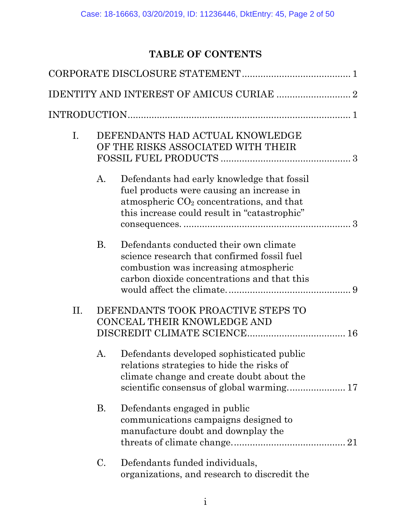# **TABLE OF CONTENTS**

| $I_{\cdot}$ |           | DEFENDANTS HAD ACTUAL KNOWLEDGE<br>OF THE RISKS ASSOCIATED WITH THEIR                                                                                                                 |
|-------------|-----------|---------------------------------------------------------------------------------------------------------------------------------------------------------------------------------------|
|             | A.        | Defendants had early knowledge that fossil<br>fuel products were causing an increase in<br>atmospheric $CO2$ concentrations, and that<br>this increase could result in "catastrophic" |
|             | <b>B.</b> | Defendants conducted their own climate<br>science research that confirmed fossil fuel<br>combustion was increasing atmospheric<br>carbon dioxide concentrations and that this         |
| II.         |           | DEFENDANTS TOOK PROACTIVE STEPS TO<br>CONCEAL THEIR KNOWLEDGE AND                                                                                                                     |
|             | A.        | Defendants developed sophisticated public<br>relations strategies to hide the risks of<br>climate change and create doubt about the<br>scientific consensus of global warming 17      |
|             | <b>B.</b> | Defendants engaged in public<br>communications campaigns designed to<br>manufacture doubt and downplay the                                                                            |
|             | C.        | Defendants funded individuals,<br>organizations, and research to discredit the                                                                                                        |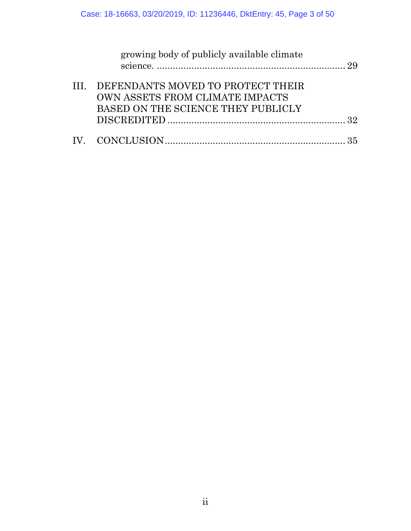| growing body of publicly available climate                                                                      |  |
|-----------------------------------------------------------------------------------------------------------------|--|
| III. DEFENDANTS MOVED TO PROTECT THEIR<br>OWN ASSETS FROM CLIMATE IMPACTS<br>BASED ON THE SCIENCE THEY PUBLICLY |  |
|                                                                                                                 |  |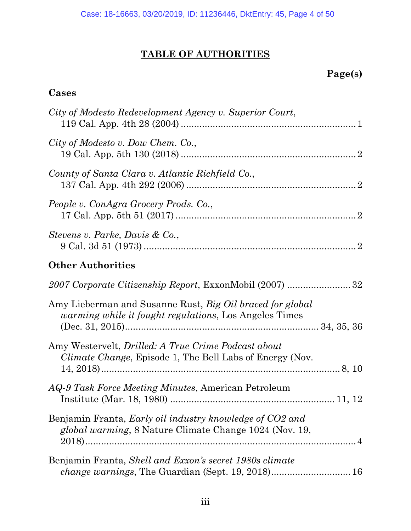# **TABLE OF AUTHORITIES**

# **Page(s)**

## **Cases**

| City of Modesto Redevelopment Agency v. Superior Court,                                                                        |  |
|--------------------------------------------------------------------------------------------------------------------------------|--|
| City of Modesto v. Dow Chem. Co.,                                                                                              |  |
| County of Santa Clara v. Atlantic Richfield Co.,                                                                               |  |
| People v. ConAgra Grocery Prods. Co.,                                                                                          |  |
| Stevens v. Parke, Davis & Co.,                                                                                                 |  |
| <b>Other Authorities</b>                                                                                                       |  |
| 2007 Corporate Citizenship Report, ExxonMobil (2007) 32                                                                        |  |
| Amy Lieberman and Susanne Rust, Big Oil braced for global<br><i>warming while it fought regulations</i> , Los Angeles Times    |  |
| Amy Westervelt, <i>Drilled: A True Crime Podcast about</i><br><i>Climate Change</i> , Episode 1, The Bell Labs of Energy (Nov. |  |
| <i>AQ-9 Task Force Meeting Minutes, American Petroleum</i>                                                                     |  |
| Benjamin Franta, Early oil industry knowledge of CO2 and<br>global warming, 8 Nature Climate Change 1024 (Nov. 19,             |  |
| Benjamin Franta, Shell and Exxon's secret 1980s climate<br><i>change warnings</i> , The Guardian (Sept. 19, 2018) 16           |  |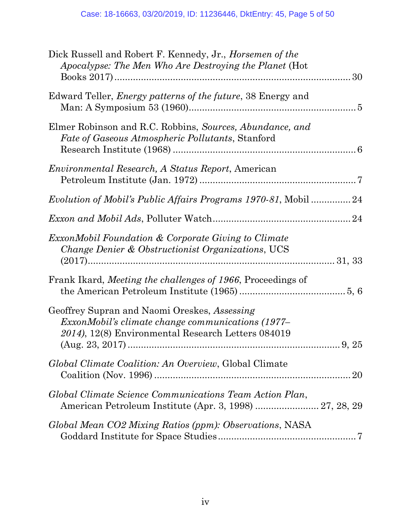| Dick Russell and Robert F. Kennedy, Jr., <i>Horsemen of the</i><br>Apocalypse: The Men Who Are Destroying the Planet (Hot                               |
|---------------------------------------------------------------------------------------------------------------------------------------------------------|
| Edward Teller, <i>Energy patterns of the future</i> , 38 Energy and                                                                                     |
| Elmer Robinson and R.C. Robbins, Sources, Abundance, and<br><i>Fate of Gaseous Atmospheric Pollutants, Stanford</i>                                     |
| Environmental Research, A Status Report, American                                                                                                       |
| Evolution of Mobil's Public Affairs Programs 1970-81, Mobil 24                                                                                          |
|                                                                                                                                                         |
| <i>ExxonMobil Foundation &amp; Corporate Giving to Climate</i><br>Change Denier & Obstructionist Organizations, UCS                                     |
| Frank Ikard, Meeting the challenges of 1966, Proceedings of                                                                                             |
| Geoffrey Supran and Naomi Oreskes, Assessing<br>ExxonMobil's climate change communications (1977–<br>2014), 12(8) Environmental Research Letters 084019 |
| Global Climate Coalition: An Overview, Global Climate                                                                                                   |
| Global Climate Science Communications Team Action Plan,<br>American Petroleum Institute (Apr. 3, 1998)  27, 28, 29                                      |
| Global Mean CO2 Mixing Ratios (ppm): Observations, NASA                                                                                                 |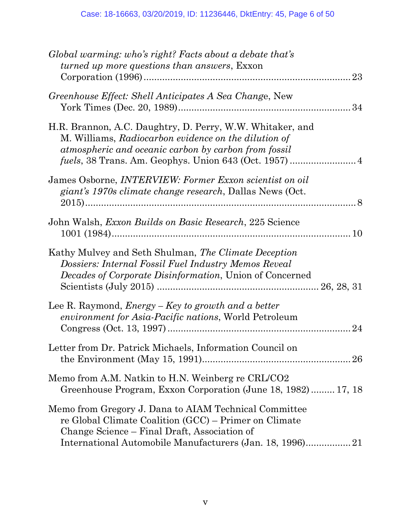| Global warming: who's right? Facts about a debate that's<br><i>turned up more questions than answers, Exxon</i><br>23                                                           |
|---------------------------------------------------------------------------------------------------------------------------------------------------------------------------------|
| Greenhouse Effect: Shell Anticipates A Sea Change, New                                                                                                                          |
| H.R. Brannon, A.C. Daughtry, D. Perry, W.W. Whitaker, and<br>M. Williams, Radiocarbon evidence on the dilution of<br>atmospheric and oceanic carbon by carbon from fossil       |
| James Osborne, <i>INTERVIEW</i> : Former Exxon scientist on oil<br>giant's 1970s climate change research, Dallas News (Oct.                                                     |
| John Walsh, Exxon Builds on Basic Research, 225 Science                                                                                                                         |
| Kathy Mulvey and Seth Shulman, The Climate Deception<br>Dossiers: Internal Fossil Fuel Industry Memos Reveal<br><i>Decades of Corporate Disinformation</i> , Union of Concerned |
| Lee R. Raymond, <i>Energy – Key to growth and a better</i><br><i>environment for Asia-Pacific nations</i> , World Petroleum<br>24                                               |
| Letter from Dr. Patrick Michaels, Information Council on                                                                                                                        |
| Memo from A.M. Natkin to H.N. Weinberg re CRL/CO2<br>Greenhouse Program, Exxon Corporation (June 18, 1982) 17, 18                                                               |
| Memo from Gregory J. Dana to AIAM Technical Committee<br>re Global Climate Coalition (GCC) – Primer on Climate<br>Change Science – Final Draft, Association of                  |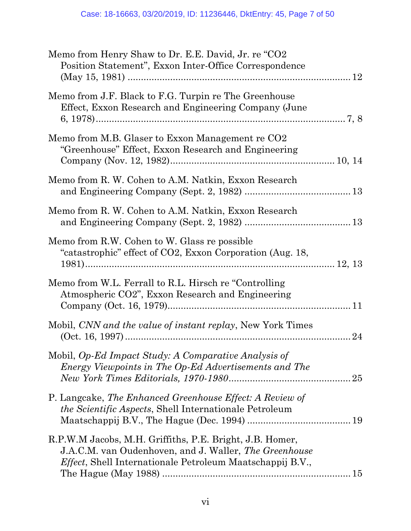| Memo from Henry Shaw to Dr. E.E. David, Jr. re "CO2<br>Position Statement", Exxon Inter-Office Correspondence                                                                                  |  |
|------------------------------------------------------------------------------------------------------------------------------------------------------------------------------------------------|--|
| Memo from J.F. Black to F.G. Turpin re The Greenhouse<br>Effect, Exxon Research and Engineering Company (June                                                                                  |  |
| Memo from M.B. Glaser to Exxon Management re CO2<br>"Greenhouse" Effect, Exxon Research and Engineering                                                                                        |  |
| Memo from R. W. Cohen to A.M. Natkin, Exxon Research                                                                                                                                           |  |
| Memo from R. W. Cohen to A.M. Natkin, Exxon Research                                                                                                                                           |  |
| Memo from R.W. Cohen to W. Glass re possible<br>"catastrophic" effect of CO2, Exxon Corporation (Aug. 18,                                                                                      |  |
| Memo from W.L. Ferrall to R.L. Hirsch re "Controlling"<br>Atmospheric CO2", Exxon Research and Engineering                                                                                     |  |
| Mobil, CNN and the value of instant replay, New York Times                                                                                                                                     |  |
| Mobil, Op-Ed Impact Study: A Comparative Analysis of<br>Energy Viewpoints in The Op-Ed Advertisements and The                                                                                  |  |
| P. Langcake, The Enhanced Greenhouse Effect: A Review of<br><i>the Scientific Aspects, Shell Internationale Petroleum</i>                                                                      |  |
| R.P.W.M Jacobs, M.H. Griffiths, P.E. Bright, J.B. Homer,<br>J.A.C.M. van Oudenhoven, and J. Waller, <i>The Greenhouse</i><br><i>Effect</i> , Shell Internationale Petroleum Maatschappij B.V., |  |
|                                                                                                                                                                                                |  |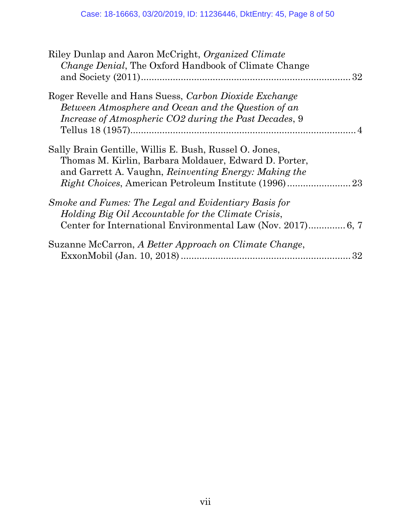| Riley Dunlap and Aaron McCright, Organized Climate<br><i>Change Denial</i> , The Oxford Handbook of Climate Change                                                                                                                    |    |
|---------------------------------------------------------------------------------------------------------------------------------------------------------------------------------------------------------------------------------------|----|
| Roger Revelle and Hans Suess, Carbon Dioxide Exchange<br>Between Atmosphere and Ocean and the Question of an<br>Increase of Atmospheric CO2 during the Past Decades, 9                                                                |    |
| Sally Brain Gentille, Willis E. Bush, Russel O. Jones,<br>Thomas M. Kirlin, Barbara Moldauer, Edward D. Porter,<br>and Garrett A. Vaughn, Reinventing Energy: Making the<br><i>Right Choices, American Petroleum Institute (1996)</i> | 23 |
| Smoke and Fumes: The Legal and Evidentiary Basis for<br>Holding Big Oil Accountable for the Climate Crisis,                                                                                                                           |    |
| Suzanne McCarron, A Better Approach on Climate Change,                                                                                                                                                                                | 32 |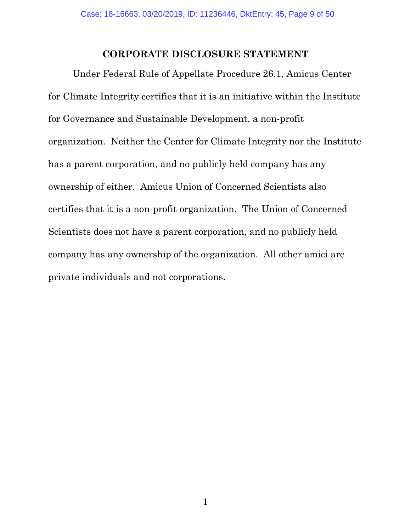#### **CORPORATE DISCLOSURE STATEMENT**

<span id="page-8-0"></span>Under Federal Rule of Appellate Procedure 26.1, Amicus Center for Climate Integrity certifies that it is an initiative within the Institute for Governance and Sustainable Development, a non-profit organization. Neither the Center for Climate Integrity nor the Institute has a parent corporation, and no publicly held company has any ownership of either. Amicus Union of Concerned Scientists also certifies that it is a non-profit organization. The Union of Concerned Scientists does not have a parent corporation, and no publicly held company has any ownership of the organization. All other amici are private individuals and not corporations.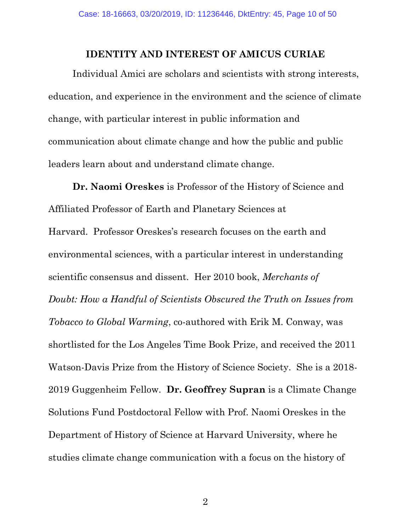#### **IDENTITY AND INTEREST OF AMICUS CURIAE**

<span id="page-9-0"></span>Individual Amici are scholars and scientists with strong interests, education, and experience in the environment and the science of climate change, with particular interest in public information and communication about climate change and how the public and public leaders learn about and understand climate change.

**Dr. Naomi Oreskes** is Professor of the History of Science and Affiliated Professor of Earth and Planetary Sciences at Harvard. Professor Oreskes's research focuses on the earth and environmental sciences, with a particular interest in understanding scientific consensus and dissent. Her 2010 book, *Merchants of Doubt: How a Handful of Scientists Obscured the Truth on Issues from Tobacco to Global Warming*, co-authored with Erik M. Conway, was shortlisted for the Los Angeles Time Book Prize, and received the 2011 Watson-Davis Prize from the History of Science Society. She is a 2018- 2019 Guggenheim Fellow. **Dr. Geoffrey Supran** is a Climate Change Solutions Fund Postdoctoral Fellow with Prof. Naomi Oreskes in the Department of History of Science at Harvard University, where he studies climate change communication with a focus on the history of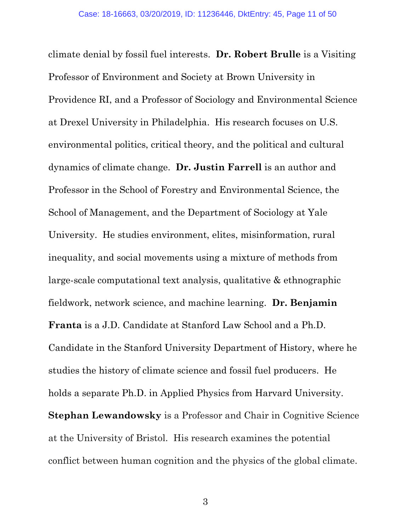climate denial by fossil fuel interests. **Dr. Robert Brulle** is a Visiting Professor of Environment and Society at Brown University in Providence RI, and a Professor of Sociology and Environmental Science at Drexel University in Philadelphia. His research focuses on U.S. environmental politics, critical theory, and the political and cultural dynamics of climate change. **Dr. Justin Farrell** is an author and Professor in the School of Forestry and Environmental Science, the School of Management, and the Department of Sociology at Yale University. He studies environment, elites, misinformation, rural inequality, and social movements using a mixture of methods from large-scale computational text analysis, qualitative & ethnographic fieldwork, network science, and machine learning. **Dr. Benjamin Franta** is a J.D. Candidate at Stanford Law School and a Ph.D. Candidate in the Stanford University Department of History, where he studies the history of climate science and fossil fuel producers. He holds a separate Ph.D. in Applied Physics from Harvard University. **Stephan Lewandowsky** is a Professor and Chair in Cognitive Science at the University of Bristol. His research examines the potential conflict between human cognition and the physics of the global climate.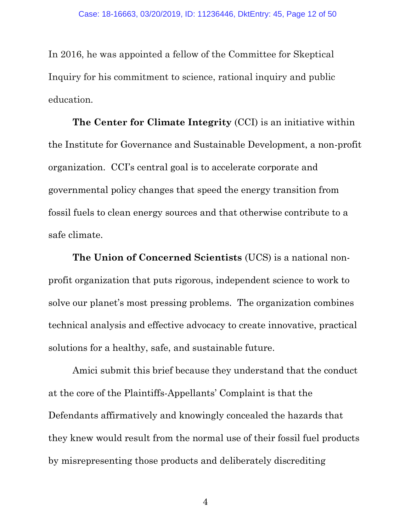In 2016, he was appointed a fellow of the Committee for Skeptical Inquiry for his commitment to science, rational inquiry and public education.

**The Center for Climate Integrity** (CCI) is an initiative within the Institute for Governance and Sustainable Development, a non-profit organization. CCI's central goal is to accelerate corporate and governmental policy changes that speed the energy transition from fossil fuels to clean energy sources and that otherwise contribute to a safe climate.

**The Union of Concerned Scientists** (UCS) is a national nonprofit organization that puts rigorous, independent science to work to solve our planet's most pressing problems. The organization combines technical analysis and effective advocacy to create innovative, practical solutions for a healthy, safe, and sustainable future.

Amici submit this brief because they understand that the conduct at the core of the Plaintiffs-Appellants' Complaint is that the Defendants affirmatively and knowingly concealed the hazards that they knew would result from the normal use of their fossil fuel products by misrepresenting those products and deliberately discrediting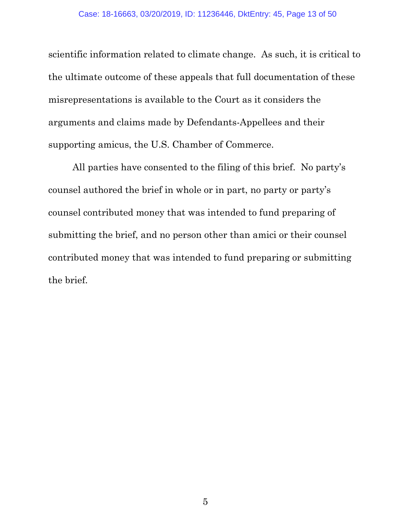scientific information related to climate change. As such, it is critical to the ultimate outcome of these appeals that full documentation of these misrepresentations is available to the Court as it considers the arguments and claims made by Defendants-Appellees and their supporting amicus, the U.S. Chamber of Commerce.

All parties have consented to the filing of this brief. No party's counsel authored the brief in whole or in part, no party or party's counsel contributed money that was intended to fund preparing of submitting the brief, and no person other than amici or their counsel contributed money that was intended to fund preparing or submitting the brief.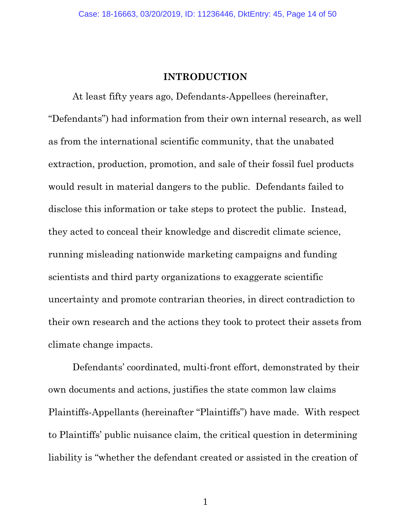#### **INTRODUCTION**

<span id="page-13-0"></span>At least fifty years ago, Defendants-Appellees (hereinafter, "Defendants") had information from their own internal research, as well as from the international scientific community, that the unabated extraction, production, promotion, and sale of their fossil fuel products would result in material dangers to the public. Defendants failed to disclose this information or take steps to protect the public. Instead, they acted to conceal their knowledge and discredit climate science, running misleading nationwide marketing campaigns and funding scientists and third party organizations to exaggerate scientific uncertainty and promote contrarian theories, in direct contradiction to their own research and the actions they took to protect their assets from climate change impacts.

Defendants' coordinated, multi-front effort, demonstrated by their own documents and actions, justifies the state common law claims Plaintiffs-Appellants (hereinafter "Plaintiffs") have made. With respect to Plaintiffs' public nuisance claim, the critical question in determining liability is "whether the defendant created or assisted in the creation of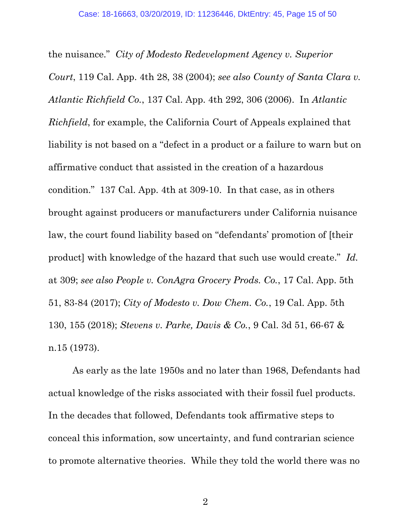<span id="page-14-2"></span><span id="page-14-0"></span>the nuisance." *City of Modesto Redevelopment Agency v. Superior Court*, 119 Cal. App. 4th 28, 38 (2004); *see also County of Santa Clara v. Atlantic Richfield Co.*, 137 Cal. App. 4th 292, 306 (2006). In *Atlantic Richfield*, for example, the California Court of Appeals explained that liability is not based on a "defect in a product or a failure to warn but on affirmative conduct that assisted in the creation of a hazardous condition." 137 Cal. App. 4th at 309-10. In that case, as in others brought against producers or manufacturers under California nuisance law, the court found liability based on "defendants' promotion of [their product] with knowledge of the hazard that such use would create." *Id.* at 309; *see also People v. ConAgra Grocery Prods. Co.*, 17 Cal. App. 5th 51, 83-84 (2017); *City of Modesto v. Dow Chem. Co.*, 19 Cal. App. 5th 130, 155 (2018); *Stevens v. Parke, Davis & Co.*, 9 Cal. 3d 51, 66-67 & n.15 (1973).

<span id="page-14-4"></span><span id="page-14-3"></span><span id="page-14-1"></span>As early as the late 1950s and no later than 1968, Defendants had actual knowledge of the risks associated with their fossil fuel products. In the decades that followed, Defendants took affirmative steps to conceal this information, sow uncertainty, and fund contrarian science to promote alternative theories. While they told the world there was no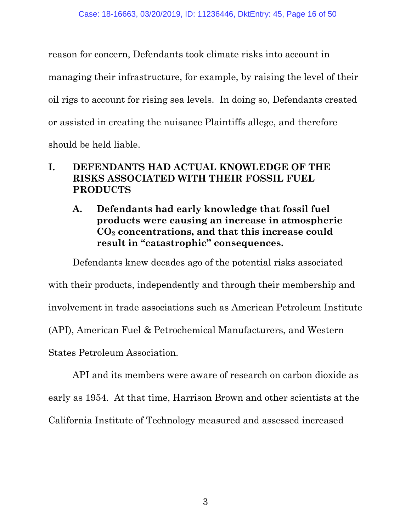reason for concern, Defendants took climate risks into account in managing their infrastructure, for example, by raising the level of their oil rigs to account for rising sea levels. In doing so, Defendants created or assisted in creating the nuisance Plaintiffs allege, and therefore should be held liable.

## <span id="page-15-0"></span>**I. DEFENDANTS HAD ACTUAL KNOWLEDGE OF THE RISKS ASSOCIATED WITH THEIR FOSSIL FUEL PRODUCTS**

<span id="page-15-1"></span>**A. Defendants had early knowledge that fossil fuel products were causing an increase in atmospheric CO<sup>2</sup> concentrations, and that this increase could result in "catastrophic" consequences.** 

Defendants knew decades ago of the potential risks associated

with their products, independently and through their membership and

involvement in trade associations such as American Petroleum Institute

(API), American Fuel & Petrochemical Manufacturers, and Western

States Petroleum Association.

API and its members were aware of research on carbon dioxide as early as 1954. At that time, Harrison Brown and other scientists at the California Institute of Technology measured and assessed increased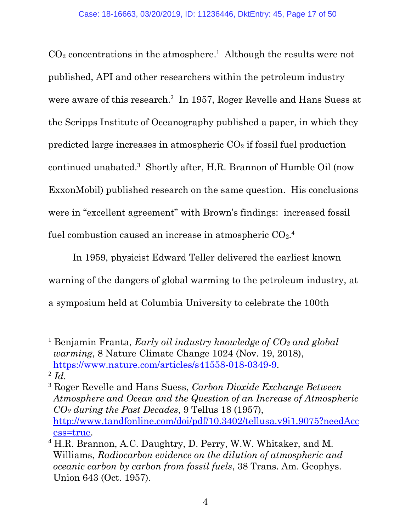$CO<sub>2</sub>$  concentrations in the atmosphere.<sup>1</sup> Although the results were not published, API and other researchers within the petroleum industry were aware of this research.<sup>2</sup> In 1957, Roger Revelle and Hans Suess at the Scripps Institute of Oceanography published a paper, in which they predicted large increases in atmospheric  $CO<sub>2</sub>$  if fossil fuel production continued unabated.<sup>3</sup> Shortly after, H.R. Brannon of Humble Oil (now ExxonMobil) published research on the same question. His conclusions were in "excellent agreement" with Brown's findings: increased fossil fuel combustion caused an increase in atmospheric  $CO<sub>2</sub>$ .<sup>4</sup>

In 1959, physicist Edward Teller delivered the earliest known warning of the dangers of global warming to the petroleum industry, at a symposium held at Columbia University to celebrate the 100th

 $\overline{a}$ 

<span id="page-16-0"></span><sup>1</sup> Benjamin Franta, *Early oil industry knowledge of CO<sup>2</sup> and global warming*, 8 Nature Climate Change 1024 (Nov. 19, 2018), [https://www.nature.com/articles/s41558-018-0349-9.](https://www.nature.com/articles/s41558-018-0349-9) 2 *Id.*

<span id="page-16-2"></span><sup>3</sup> Roger Revelle and Hans Suess, *Carbon Dioxide Exchange Between Atmosphere and Ocean and the Question of an Increase of Atmospheric CO<sup>2</sup> during the Past Decades*, 9 Tellus 18 (1957), [http://www.tandfonline.com/doi/pdf/10.3402/tellusa.v9i1.9075?needAcc](http://www.tandfonline.com/doi/pdf/10.3402/tellusa.v9i1.9075?needAccess=true) [ess=true.](http://www.tandfonline.com/doi/pdf/10.3402/tellusa.v9i1.9075?needAccess=true)

<span id="page-16-1"></span><sup>4</sup> H.R. Brannon, A.C. Daughtry, D. Perry, W.W. Whitaker, and M. Williams, *Radiocarbon evidence on the dilution of atmospheric and oceanic carbon by carbon from fossil fuels*, 38 Trans. Am. Geophys. Union 643 (Oct. 1957).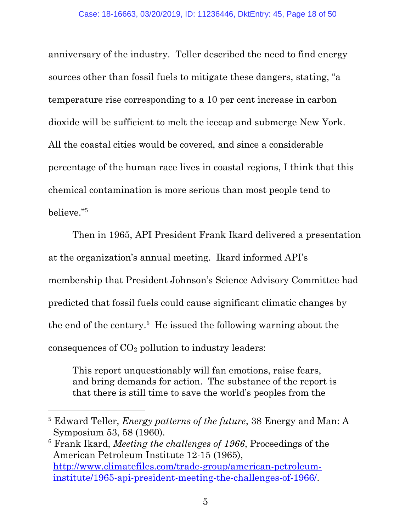anniversary of the industry. Teller described the need to find energy sources other than fossil fuels to mitigate these dangers, stating, "a temperature rise corresponding to a 10 per cent increase in carbon dioxide will be sufficient to melt the icecap and submerge New York. All the coastal cities would be covered, and since a considerable percentage of the human race lives in coastal regions, I think that this chemical contamination is more serious than most people tend to believe."<sup>5</sup>

Then in 1965, API President Frank Ikard delivered a presentation at the organization's annual meeting. Ikard informed API's membership that President Johnson's Science Advisory Committee had predicted that fossil fuels could cause significant climatic changes by the end of the century.<sup>6</sup> He issued the following warning about the consequences of  $CO<sub>2</sub>$  pollution to industry leaders:

This report unquestionably will fan emotions, raise fears, and bring demands for action. The substance of the report is that there is still time to save the world's peoples from the

<span id="page-17-1"></span><sup>6</sup> Frank Ikard, *Meeting the challenges of 1966*, Proceedings of the American Petroleum Institute 12-15 (1965), [http://www.climatefiles.com/trade-group/american-petroleum](http://www.climatefiles.com/trade-group/american-petroleum-institute/1965-api-president-meeting-the-challenges-of-1966/)[institute/1965-api-president-meeting-the-challenges-of-1966/.](http://www.climatefiles.com/trade-group/american-petroleum-institute/1965-api-president-meeting-the-challenges-of-1966/)

<span id="page-17-0"></span><sup>5</sup> Edward Teller, *Energy patterns of the future*, 38 Energy and Man: A Symposium 53, 58 (1960).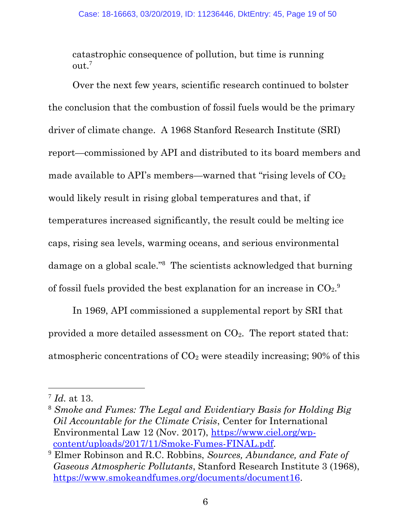catastrophic consequence of pollution, but time is running out.<sup>7</sup>

Over the next few years, scientific research continued to bolster the conclusion that the combustion of fossil fuels would be the primary driver of climate change. A 1968 Stanford Research Institute (SRI) report—commissioned by API and distributed to its board members and made available to API's members—warned that "rising levels of  $CO<sub>2</sub>$ would likely result in rising global temperatures and that, if temperatures increased significantly, the result could be melting ice caps, rising sea levels, warming oceans, and serious environmental damage on a global scale."<sup>8</sup> The scientists acknowledged that burning of fossil fuels provided the best explanation for an increase in  $CO<sub>2</sub>$ .

In 1969, API commissioned a supplemental report by SRI that provided a more detailed assessment on  $CO<sub>2</sub>$ . The report stated that: atmospheric concentrations of  $CO<sub>2</sub>$  were steadily increasing; 90% of this

<span id="page-18-1"></span><sup>7</sup> *Id.* at 13.

<span id="page-18-2"></span><sup>8</sup> *Smoke and Fumes: The Legal and Evidentiary Basis for Holding Big Oil Accountable for the Climate Crisis*, Center for International Environmental Law 12 (Nov. 2017), [https://www.ciel.org/wp](https://www.ciel.org/wp-content/uploads/2017/11/Smoke-Fumes-FINAL.pdf)[content/uploads/2017/11/Smoke-Fumes-FINAL.pdf.](https://www.ciel.org/wp-content/uploads/2017/11/Smoke-Fumes-FINAL.pdf)

<span id="page-18-0"></span><sup>9</sup> Elmer Robinson and R.C. Robbins, *Sources, Abundance, and Fate of Gaseous Atmospheric Pollutants*, Stanford Research Institute 3 (1968), [https://www.smokeandfumes.org/documents/document16.](https://www.smokeandfumes.org/documents/document16)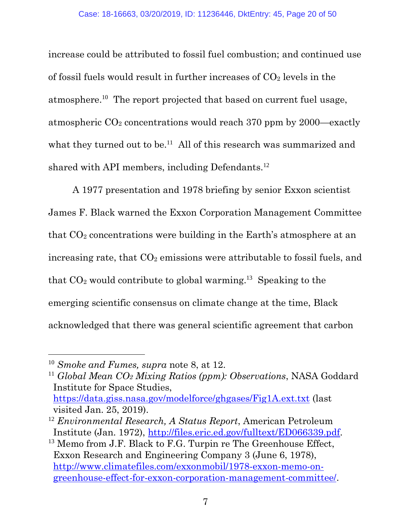increase could be attributed to fossil fuel combustion; and continued use of fossil fuels would result in further increases of  $CO<sub>2</sub>$  levels in the atmosphere.<sup>10</sup> The report projected that based on current fuel usage, atmospheric  $CO<sub>2</sub>$  concentrations would reach 370 ppm by 2000—exactly what they turned out to be.<sup>11</sup> All of this research was summarized and shared with API members, including Defendants.<sup>12</sup>

A 1977 presentation and 1978 briefing by senior Exxon scientist James F. Black warned the Exxon Corporation Management Committee that  $CO<sub>2</sub>$  concentrations were building in the Earth's atmosphere at an increasing rate, that  $CO<sub>2</sub>$  emissions were attributable to fossil fuels, and that  $CO<sub>2</sub>$  would contribute to global warming.<sup>13</sup> Speaking to the emerging scientific consensus on climate change at the time, Black acknowledged that there was general scientific agreement that carbon

 $\overline{a}$ 

<span id="page-19-3"></span><sup>10</sup> *Smoke and Fumes, supra* note 8, at 12.

<span id="page-19-1"></span><sup>11</sup> *Global Mean CO<sup>2</sup> Mixing Ratios (ppm): Observations*, NASA Goddard Institute for Space Studies, <https://data.giss.nasa.gov/modelforce/ghgases/Fig1A.ext.txt> (last visited Jan. 25, 2019).

<span id="page-19-0"></span><sup>12</sup> *Environmental Research, A Status Report*, American Petroleum Institute (Jan. 1972), [http://files.eric.ed.gov/fulltext/ED066339.pdf.](files.eric.ed.gov/fulltext/ED066339.pdf)

<span id="page-19-2"></span><sup>&</sup>lt;sup>13</sup> Memo from J.F. Black to F.G. Turpin re The Greenhouse Effect, Exxon Research and Engineering Company 3 (June 6, 1978), [http://www.climatefiles.com/exxonmobil/1978-exxon-memo-on](http://www.climatefiles.com/exxonmobil/1978-exxon-memo-on-greenhouse-effect-for-exxon-corporation-management-committee/)[greenhouse-effect-for-exxon-corporation-management-committee/.](http://www.climatefiles.com/exxonmobil/1978-exxon-memo-on-greenhouse-effect-for-exxon-corporation-management-committee/)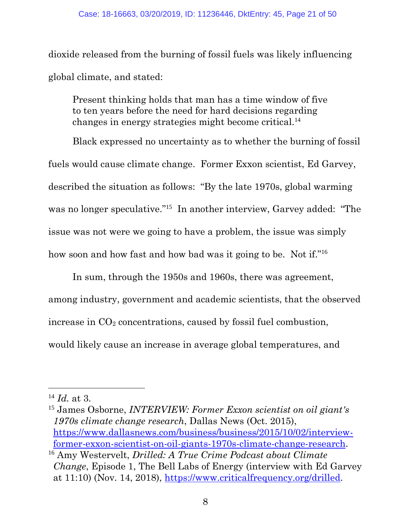dioxide released from the burning of fossil fuels was likely influencing global climate, and stated:

Present thinking holds that man has a time window of five to ten years before the need for hard decisions regarding changes in energy strategies might become critical.<sup>14</sup>

Black expressed no uncertainty as to whether the burning of fossil fuels would cause climate change. Former Exxon scientist, Ed Garvey, described the situation as follows: "By the late 1970s, global warming was no longer speculative."<sup>15</sup> In another interview, Garvey added: "The issue was not were we going to have a problem, the issue was simply how soon and how fast and how bad was it going to be. Not if."<sup>16</sup>

In sum, through the 1950s and 1960s, there was agreement, among industry, government and academic scientists, that the observed increase in  $CO<sub>2</sub>$  concentrations, caused by fossil fuel combustion, would likely cause an increase in average global temperatures, and

<span id="page-20-2"></span><sup>14</sup> *Id.* at 3.

<span id="page-20-1"></span><sup>15</sup> James Osborne, *INTERVIEW: Former Exxon scientist on oil giant's 1970s climate change research*, Dallas News (Oct. 2015), [https://www.dallasnews.com/business/business/2015/10/02/interview](https://www.dallasnews.com/business/business/2015/10/02/interview-former-exxon-scientist-on-oil-giants-1970s-climate-change-research)[former-exxon-scientist-on-oil-giants-1970s-climate-change-research.](https://www.dallasnews.com/business/business/2015/10/02/interview-former-exxon-scientist-on-oil-giants-1970s-climate-change-research) <sup>16</sup> Amy Westervelt, *Drilled: A True Crime Podcast about Climate* 

<span id="page-20-0"></span>*Change*, Episode 1, The Bell Labs of Energy (interview with Ed Garvey at 11:10) (Nov. 14, 2018), [https://www.criticalfrequency.org/drilled.](https://www.criticalfrequency.org/drilled)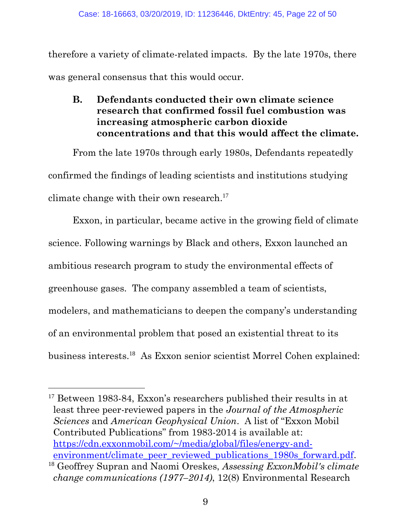therefore a variety of climate-related impacts. By the late 1970s, there was general consensus that this would occur.

<span id="page-21-0"></span>**B. Defendants conducted their own climate science research that confirmed fossil fuel combustion was increasing atmospheric carbon dioxide concentrations and that this would affect the climate.** 

From the late 1970s through early 1980s, Defendants repeatedly confirmed the findings of leading scientists and institutions studying climate change with their own research. 17

Exxon, in particular, became active in the growing field of climate science. Following warnings by Black and others, Exxon launched an ambitious research program to study the environmental effects of greenhouse gases. The company assembled a team of scientists, modelers, and mathematicians to deepen the company's understanding of an environmental problem that posed an existential threat to its business interests.<sup>18</sup> As Exxon senior scientist Morrel Cohen explained:

<sup>&</sup>lt;sup>17</sup> Between 1983-84, Exxon's researchers published their results in at least three peer-reviewed papers in the *Journal of the Atmospheric Sciences* and *American Geophysical Union*. A list of "Exxon Mobil Contributed Publications" from 1983-2014 is available at: [https://cdn.exxonmobil.com/~/media/global/files/energy-and](https://cdn.exxonmobil.com/~/media/global/files/energy-and-environment/climate_peer_reviewed_publications_1980s_forward.pdf)[environment/climate\\_peer\\_reviewed\\_publications\\_1980s\\_forward.pdf.](https://cdn.exxonmobil.com/~/media/global/files/energy-and-environment/climate_peer_reviewed_publications_1980s_forward.pdf)

<span id="page-21-1"></span><sup>18</sup> Geoffrey Supran and Naomi Oreskes, *Assessing ExxonMobil's climate change communications (1977–2014)*, 12(8) Environmental Research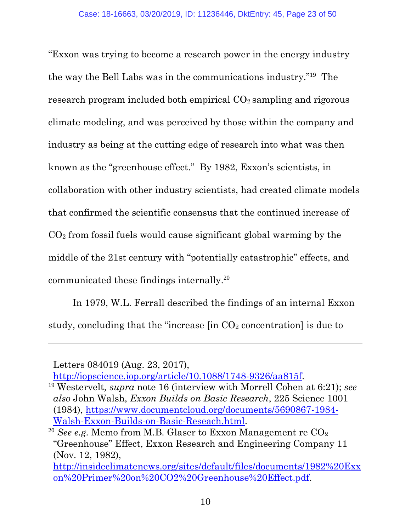"Exxon was trying to become a research power in the energy industry the way the Bell Labs was in the communications industry."<sup>19</sup> The research program included both empirical  $CO<sub>2</sub>$  sampling and rigorous climate modeling, and was perceived by those within the company and industry as being at the cutting edge of research into what was then known as the "greenhouse effect." By 1982, Exxon's scientists, in collaboration with other industry scientists, had created climate models that confirmed the scientific consensus that the continued increase of CO<sup>2</sup> from fossil fuels would cause significant global warming by the middle of the 21st century with "potentially catastrophic" effects, and communicated these findings internally.<sup>20</sup>

In 1979, W.L. Ferrall described the findings of an internal Exxon study, concluding that the "increase [in CO<sup>2</sup> concentration] is due to

 $\overline{a}$ 

Letters 084019 (Aug. 23, 2017),

[http://iopscience.iop.org/article/10.1088/1748-9326/aa815f.](http://iopscience.iop.org/article/10.1088/1748-9326/aa815f)

<span id="page-22-1"></span><span id="page-22-0"></span><sup>19</sup> Westervelt*, supra* note 16 (interview with Morrell Cohen at 6:21); *see also* John Walsh, *Exxon Builds on Basic Research*, 225 Science 1001 (1984), [https://www.documentcloud.org/documents/5690867-1984-](https://www.documentcloud.org/documents/5690867-1984-Walsh-Exxon-Builds-on-Basic-Reseach.html) [Walsh-Exxon-Builds-on-Basic-Reseach.html.](https://www.documentcloud.org/documents/5690867-1984-Walsh-Exxon-Builds-on-Basic-Reseach.html)

<span id="page-22-2"></span><sup>&</sup>lt;sup>20</sup> *See e.g.* Memo from M.B. Glaser to Exxon Management re CO<sub>2</sub> "Greenhouse" Effect, Exxon Research and Engineering Company 11 (Nov. 12, 1982),

[http://insideclimatenews.org/sites/default/files/documents/1982%20Exx](insideclimatenews.org/sites/default/files/documents/1982%20Exxon%20Primer%20on%20CO2%20Greenhouse%20Effect.pdf) [on%20Primer%20on%20CO2%20Greenhouse%20Effect.pdf.](insideclimatenews.org/sites/default/files/documents/1982%20Exxon%20Primer%20on%20CO2%20Greenhouse%20Effect.pdf)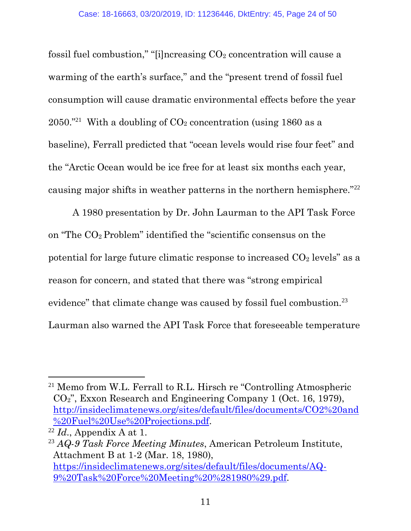fossil fuel combustion," "[i]ncreasing  $CO<sub>2</sub>$  concentration will cause a warming of the earth's surface," and the "present trend of fossil fuel consumption will cause dramatic environmental effects before the year  $2050.^{"21}$  With a doubling of  $CO<sub>2</sub>$  concentration (using 1860 as a baseline), Ferrall predicted that "ocean levels would rise four feet" and the "Arctic Ocean would be ice free for at least six months each year, causing major shifts in weather patterns in the northern hemisphere."<sup>22</sup>

A 1980 presentation by Dr. John Laurman to the API Task Force on "The CO2 Problem" identified the "scientific consensus on the potential for large future climatic response to increased  $CO<sub>2</sub>$  levels" as a reason for concern, and stated that there was "strong empirical evidence" that climate change was caused by fossil fuel combustion.<sup>23</sup> Laurman also warned the API Task Force that foreseeable temperature

<span id="page-23-1"></span><sup>&</sup>lt;sup>21</sup> Memo from W.L. Ferrall to R.L. Hirsch re "Controlling Atmospheric CO2", Exxon Research and Engineering Company 1 (Oct. 16, 1979), [http://insideclimatenews.org/sites/default/files/documents/CO2%20and](insideclimatenews.org/sites/default/files/documents/CO2%20and%20Fuel%20Use%20Projections.pdf) [%20Fuel%20Use%20Projections.pdf.](insideclimatenews.org/sites/default/files/documents/CO2%20and%20Fuel%20Use%20Projections.pdf)

 $^{22}$  *Id.*, Appendix A at 1.

<span id="page-23-0"></span><sup>23</sup> *AQ-9 Task Force Meeting Minutes*, American Petroleum Institute, Attachment B at 1-2 (Mar. 18, 1980), [https://insideclimatenews.org/sites/default/files/documents/AQ-](https://insideclimatenews.org/sites/default/files/documents/AQ-9%20Task%20Force%20Meeting%20%281980%29.pdf)[9%20Task%20Force%20Meeting%20%281980%29.pdf.](https://insideclimatenews.org/sites/default/files/documents/AQ-9%20Task%20Force%20Meeting%20%281980%29.pdf)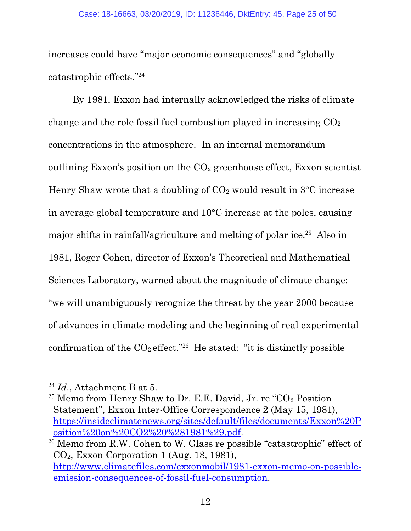increases could have "major economic consequences" and "globally catastrophic effects." 24

By 1981, Exxon had internally acknowledged the risks of climate change and the role fossil fuel combustion played in increasing  $CO<sub>2</sub>$ concentrations in the atmosphere. In an internal memorandum outlining Exxon's position on the  $CO<sub>2</sub>$  greenhouse effect, Exxon scientist Henry Shaw wrote that a doubling of  $CO<sub>2</sub>$  would result in  $3^{\circ}$ C increase in average global temperature and 10°C increase at the poles, causing major shifts in rainfall/agriculture and melting of polar ice.<sup>25</sup> Also in 1981, Roger Cohen, director of Exxon's Theoretical and Mathematical Sciences Laboratory, warned about the magnitude of climate change: "we will unambiguously recognize the threat by the year 2000 because of advances in climate modeling and the beginning of real experimental confirmation of the  $CO_2$  effect."<sup>26</sup> He stated: "it is distinctly possible

<span id="page-24-0"></span><sup>24</sup> *Id*., Attachment B at 5.

<span id="page-24-1"></span><sup>&</sup>lt;sup>25</sup> Memo from Henry Shaw to Dr. E.E. David, Jr. re " $CO<sub>2</sub>$  Position Statement", Exxon Inter-Office Correspondence 2 (May 15, 1981), [https://insideclimatenews.org/sites/default/files/documents/Exxon%20P](https://insideclimatenews.org/sites/default/files/documents/Exxon%20Position%20on%20CO2%20%281981%29.pdf) [osition%20on%20CO2%20%281981%29.pdf.](https://insideclimatenews.org/sites/default/files/documents/Exxon%20Position%20on%20CO2%20%281981%29.pdf)

<span id="page-24-2"></span><sup>26</sup> Memo from R.W. Cohen to W. Glass re possible "catastrophic" effect of CO2, Exxon Corporation 1 (Aug. 18, 1981), [http://www.climatefiles.com/exxonmobil/1981-exxon-memo-on-possible](http://www.climatefiles.com/exxonmobil/1981-exxon-memo-on-possible-emission-consequences-of-fossil-fuel-consumption)[emission-consequences-of-fossil-fuel-consumption.](http://www.climatefiles.com/exxonmobil/1981-exxon-memo-on-possible-emission-consequences-of-fossil-fuel-consumption)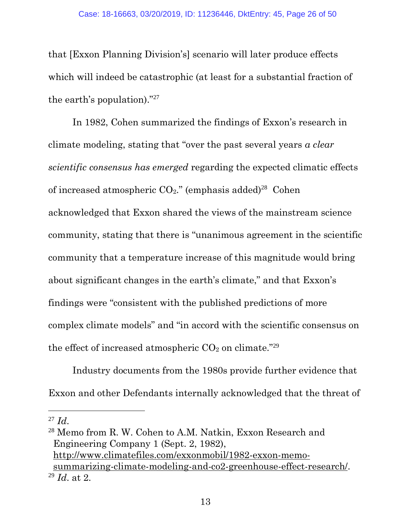that [Exxon Planning Division's] scenario will later produce effects which will indeed be catastrophic (at least for a substantial fraction of the earth's population)."<sup>27</sup>

In 1982, Cohen summarized the findings of Exxon's research in climate modeling, stating that "over the past several years *a clear scientific consensus has emerged* regarding the expected climatic effects of increased atmospheric  $CO<sub>2</sub>$ ." (emphasis added)<sup>28</sup> Cohen acknowledged that Exxon shared the views of the mainstream science community, stating that there is "unanimous agreement in the scientific community that a temperature increase of this magnitude would bring about significant changes in the earth's climate," and that Exxon's findings were "consistent with the published predictions of more complex climate models" and "in accord with the scientific consensus on the effect of increased atmospheric  $CO<sub>2</sub>$  on climate."<sup>29</sup>

Industry documents from the 1980s provide further evidence that Exxon and other Defendants internally acknowledged that the threat of

<span id="page-25-2"></span> $^{27}$  *Id.* 

<span id="page-25-1"></span><span id="page-25-0"></span><sup>28</sup> Memo from R. W. Cohen to A.M. Natkin, Exxon Research and Engineering Company 1 (Sept. 2, 1982), [http://www.climatefiles.com/exxonmobil/1982-exxon-memo](http://www.climatefiles.com/exxonmobil/1982-exxon-memo-summarizing-climate-modeling-and-co2-greenhouse-effect-research/)[summarizing-climate-modeling-and-co2-greenhouse-effect-research/.](http://www.climatefiles.com/exxonmobil/1982-exxon-memo-summarizing-climate-modeling-and-co2-greenhouse-effect-research/) <sup>29</sup> *Id*. at 2.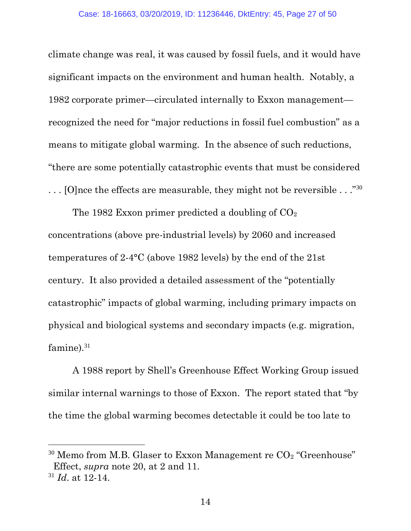climate change was real, it was caused by fossil fuels, and it would have significant impacts on the environment and human health. Notably, a 1982 corporate primer—circulated internally to Exxon management recognized the need for "major reductions in fossil fuel combustion" as a means to mitigate global warming. In the absence of such reductions, "there are some potentially catastrophic events that must be considered  $\ldots$  [O]nce the effects are measurable, they might not be reversible  $\ldots$ ."<sup>30</sup>

The 1982 Exxon primer predicted a doubling of  $CO<sub>2</sub>$ concentrations (above pre-industrial levels) by 2060 and increased temperatures of 2-4°C (above 1982 levels) by the end of the 21st century. It also provided a detailed assessment of the "potentially catastrophic" impacts of global warming, including primary impacts on physical and biological systems and secondary impacts (e.g. migration, famine). $31$ 

A 1988 report by Shell's Greenhouse Effect Working Group issued similar internal warnings to those of Exxon. The report stated that "by the time the global warming becomes detectable it could be too late to

 $\overline{a}$ 

<span id="page-26-0"></span> $30$  Memo from M.B. Glaser to Exxon Management re  $CO<sub>2</sub>$  "Greenhouse" Effect, *supra* note 20, at 2 and 11.

<sup>31</sup> *Id*. at 12-14.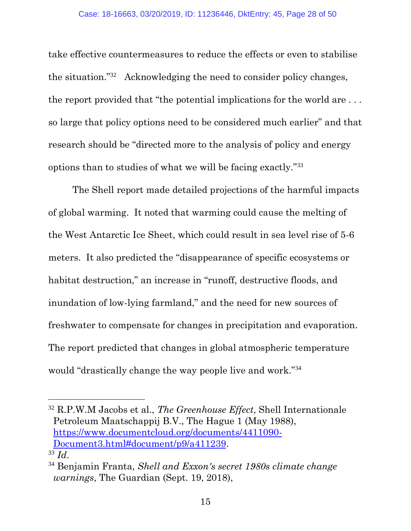take effective countermeasures to reduce the effects or even to stabilise the situation."<sup>32</sup> Acknowledging the need to consider policy changes, the report provided that "the potential implications for the world are . . . so large that policy options need to be considered much earlier" and that research should be "directed more to the analysis of policy and energy options than to studies of what we will be facing exactly."<sup>33</sup>

The Shell report made detailed projections of the harmful impacts of global warming. It noted that warming could cause the melting of the West Antarctic Ice Sheet, which could result in sea level rise of 5-6 meters. It also predicted the "disappearance of specific ecosystems or habitat destruction," an increase in "runoff, destructive floods, and inundation of low-lying farmland," and the need for new sources of freshwater to compensate for changes in precipitation and evaporation. The report predicted that changes in global atmospheric temperature would "drastically change the way people live and work."<sup>34</sup>

<sup>32</sup> R.P.W.M Jacobs et al., *The Greenhouse Effect*, Shell Internationale Petroleum Maatschappij B.V., The Hague 1 (May 1988), [https://www.documentcloud.org/documents/4411090-](https://www.documentcloud.org/documents/4411090-Document3.html#document/p9/a411239) [Document3.html#document/p9/a411239.](https://www.documentcloud.org/documents/4411090-Document3.html#document/p9/a411239) <sup>33</sup> *Id*.

<span id="page-27-0"></span><sup>34</sup> Benjamin Franta, *Shell and Exxon's secret 1980s climate change warnings*, The Guardian (Sept. 19, 2018),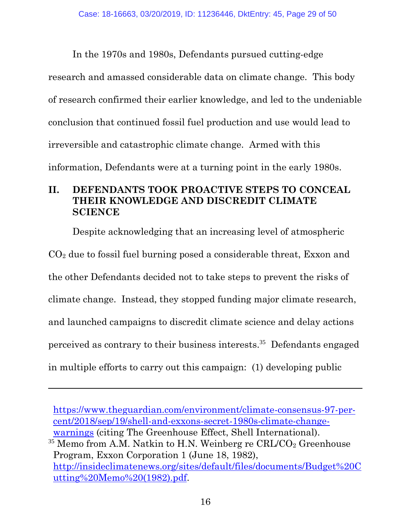In the 1970s and 1980s, Defendants pursued cutting-edge research and amassed considerable data on climate change. This body of research confirmed their earlier knowledge, and led to the undeniable conclusion that continued fossil fuel production and use would lead to irreversible and catastrophic climate change. Armed with this information, Defendants were at a turning point in the early 1980s.

## <span id="page-28-0"></span>**II. DEFENDANTS TOOK PROACTIVE STEPS TO CONCEAL THEIR KNOWLEDGE AND DISCREDIT CLIMATE SCIENCE**

Despite acknowledging that an increasing level of atmospheric  $CO<sub>2</sub>$  due to fossil fuel burning posed a considerable threat, Exxon and the other Defendants decided not to take steps to prevent the risks of climate change. Instead, they stopped funding major climate research, and launched campaigns to discredit climate science and delay actions perceived as contrary to their business interests. 35 Defendants engaged in multiple efforts to carry out this campaign: (1) developing public

[https://www.theguardian.com/environment/climate-consensus-97-per](https://www.theguardian.com/environment/climate-consensus-97-per-cent/2018/sep/19/shell-and-exxons-secret-1980s-climate-change-warnings)[cent/2018/sep/19/shell-and-exxons-secret-1980s-climate-change](https://www.theguardian.com/environment/climate-consensus-97-per-cent/2018/sep/19/shell-and-exxons-secret-1980s-climate-change-warnings)[warnings](https://www.theguardian.com/environment/climate-consensus-97-per-cent/2018/sep/19/shell-and-exxons-secret-1980s-climate-change-warnings) (citing The Greenhouse Effect, Shell International).

<span id="page-28-1"></span> $35$  Memo from A.M. Natkin to H.N. Weinberg re CRL/CO<sub>2</sub> Greenhouse Program, Exxon Corporation 1 (June 18, 1982), [http://insideclimatenews.org/sites/default/files/documents/Budget%20C](insideclimatenews.org/sites/default/files/documents/Budget%20Cutting%20Memo%20(1982).pdf) [utting%20Memo%20\(1982\).pdf.](insideclimatenews.org/sites/default/files/documents/Budget%20Cutting%20Memo%20(1982).pdf)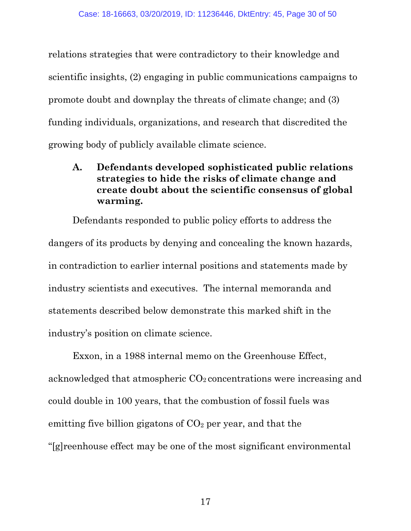relations strategies that were contradictory to their knowledge and scientific insights, (2) engaging in public communications campaigns to promote doubt and downplay the threats of climate change; and (3) funding individuals, organizations, and research that discredited the growing body of publicly available climate science.

## <span id="page-29-0"></span>**A. Defendants developed sophisticated public relations strategies to hide the risks of climate change and create doubt about the scientific consensus of global warming.**

Defendants responded to public policy efforts to address the dangers of its products by denying and concealing the known hazards, in contradiction to earlier internal positions and statements made by industry scientists and executives. The internal memoranda and statements described below demonstrate this marked shift in the industry's position on climate science.

Exxon, in a 1988 internal memo on the Greenhouse Effect, acknowledged that atmospheric  $CO<sub>2</sub>$  concentrations were increasing and could double in 100 years, that the combustion of fossil fuels was emitting five billion gigatons of  $CO<sub>2</sub>$  per year, and that the "[g]reenhouse effect may be one of the most significant environmental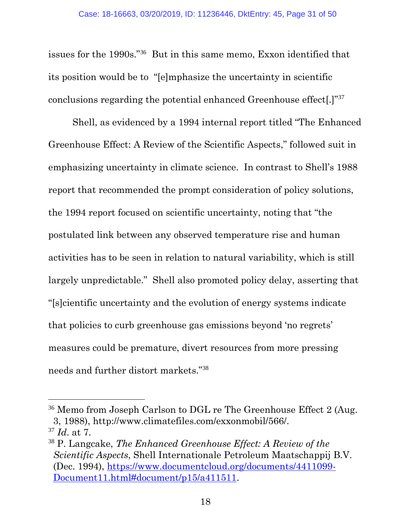issues for the 1990s."<sup>36</sup> But in this same memo, Exxon identified that its position would be to "[e]mphasize the uncertainty in scientific conclusions regarding the potential enhanced Greenhouse effect[.]"<sup>37</sup>

Shell, as evidenced by a 1994 internal report titled "The Enhanced Greenhouse Effect: A Review of the Scientific Aspects," followed suit in emphasizing uncertainty in climate science. In contrast to Shell's 1988 report that recommended the prompt consideration of policy solutions, the 1994 report focused on scientific uncertainty, noting that "the postulated link between any observed temperature rise and human activities has to be seen in relation to natural variability, which is still largely unpredictable." Shell also promoted policy delay, asserting that "[s]cientific uncertainty and the evolution of energy systems indicate that policies to curb greenhouse gas emissions beyond 'no regrets' measures could be premature, divert resources from more pressing needs and further distort markets."<sup>38</sup>

<sup>&</sup>lt;sup>36</sup> Memo from Joseph Carlson to DGL re The Greenhouse Effect 2 (Aug. 3, 1988), http://www.climatefiles.com/exxonmobil/566/. <sup>37</sup> *Id*. at 7.

<span id="page-30-0"></span><sup>38</sup> P. Langcake, *The Enhanced Greenhouse Effect: A Review of the Scientific Aspects*, Shell Internationale Petroleum Maatschappij B.V. (Dec. 1994), [https://www.documentcloud.org/documents/4411099-](https://www.documentcloud.org/documents/4411099-Document11.html#document/p15/a411511) [Document11.html#document/p15/a411511.](https://www.documentcloud.org/documents/4411099-Document11.html#document/p15/a411511)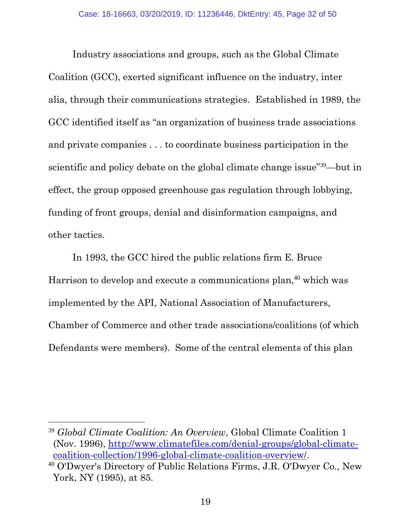Industry associations and groups, such as the Global Climate Coalition (GCC), exerted significant influence on the industry, inter alia, through their communications strategies. Established in 1989, the GCC identified itself as "an organization of business trade associations and private companies . . . to coordinate business participation in the scientific and policy debate on the global climate change issue"<sup>39</sup>—but in effect, the group opposed greenhouse gas regulation through lobbying, funding of front groups, denial and disinformation campaigns, and other tactics.

In 1993, the GCC hired the public relations firm E. Bruce Harrison to develop and execute a communications plan, <sup>40</sup> which was implemented by the API, National Association of Manufacturers, Chamber of Commerce and other trade associations/coalitions (of which Defendants were members). Some of the central elements of this plan

 $\overline{a}$ 

<span id="page-31-0"></span><sup>39</sup> *Global Climate Coalition: An Overview*, Global Climate Coalition 1 (Nov. 1996), [http://www.climatefiles.com/denial-groups/global-climate](http://www.climatefiles.com/denial-groups/global-climate-coalition-collection/1996-global-climate-coalition-overview/)[coalition-collection/1996-global-climate-coalition-overview/.](http://www.climatefiles.com/denial-groups/global-climate-coalition-collection/1996-global-climate-coalition-overview/)

<sup>40</sup> O'Dwyer's Directory of Public Relations Firms, J.R. O'Dwyer Co., New York, NY (1995), at 85.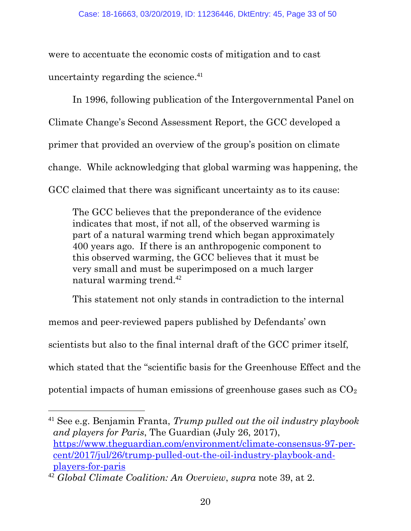were to accentuate the economic costs of mitigation and to cast uncertainty regarding the science.<sup>41</sup>

In 1996, following publication of the Intergovernmental Panel on Climate Change's Second Assessment Report, the GCC developed a primer that provided an overview of the group's position on climate change. While acknowledging that global warming was happening, the GCC claimed that there was significant uncertainty as to its cause:

The GCC believes that the preponderance of the evidence indicates that most, if not all, of the observed warming is part of a natural warming trend which began approximately 400 years ago. If there is an anthropogenic component to this observed warming, the GCC believes that it must be very small and must be superimposed on a much larger natural warming trend.<sup>42</sup>

This statement not only stands in contradiction to the internal

memos and peer-reviewed papers published by Defendants' own

scientists but also to the final internal draft of the GCC primer itself,

which stated that the "scientific basis for the Greenhouse Effect and the

potential impacts of human emissions of greenhouse gases such as  $CO<sub>2</sub>$ 

<sup>41</sup> See e.g. Benjamin Franta, *Trump pulled out the oil industry playbook and players for Paris*, The Guardian (July 26, 2017), [https://www.theguardian.com/environment/climate-consensus-97-per](https://www.theguardian.com/environment/climate-consensus-97-per-cent/2017/jul/26/trump-pulled-out-the-oil-industry-playbook-and-players-for-paris)[cent/2017/jul/26/trump-pulled-out-the-oil-industry-playbook-and](https://www.theguardian.com/environment/climate-consensus-97-per-cent/2017/jul/26/trump-pulled-out-the-oil-industry-playbook-and-players-for-paris)[players-for-paris](https://www.theguardian.com/environment/climate-consensus-97-per-cent/2017/jul/26/trump-pulled-out-the-oil-industry-playbook-and-players-for-paris)

<sup>42</sup> *Global Climate Coalition: An Overview*, *supra* note 39, at 2.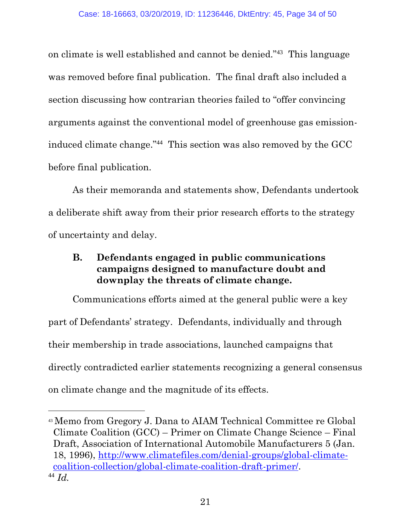on climate is well established and cannot be denied."<sup>43</sup> This language was removed before final publication. The final draft also included a section discussing how contrarian theories failed to "offer convincing arguments against the conventional model of greenhouse gas emissioninduced climate change."<sup>44</sup> This section was also removed by the GCC before final publication.

As their memoranda and statements show, Defendants undertook a deliberate shift away from their prior research efforts to the strategy of uncertainty and delay.

## <span id="page-33-0"></span>**B. Defendants engaged in public communications campaigns designed to manufacture doubt and downplay the threats of climate change.**

Communications efforts aimed at the general public were a key part of Defendants' strategy. Defendants, individually and through their membership in trade associations, launched campaigns that directly contradicted earlier statements recognizing a general consensus on climate change and the magnitude of its effects.

<span id="page-33-1"></span><sup>43</sup> Memo from Gregory J. Dana to AIAM Technical Committee re Global Climate Coalition (GCC) – Primer on Climate Change Science – Final Draft, Association of International Automobile Manufacturers 5 (Jan. 18, 1996), [http://www.climatefiles.com/denial-groups/global-climate](http://www.climatefiles.com/denial-groups/global-climate-coalition-collection/global-climate-coalition-draft-primer/)[coalition-collection/global-climate-coalition-draft-primer/.](http://www.climatefiles.com/denial-groups/global-climate-coalition-collection/global-climate-coalition-draft-primer/) <sup>44</sup> *Id.*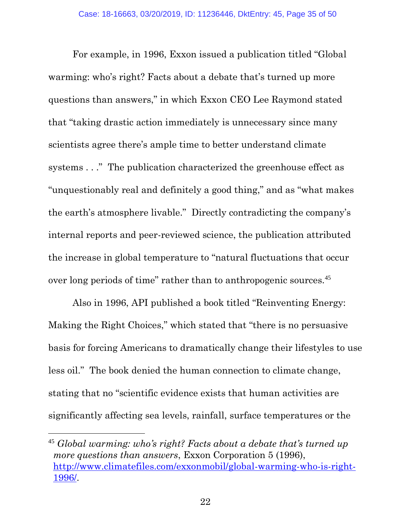For example, in 1996, Exxon issued a publication titled "Global warming: who's right? Facts about a debate that's turned up more questions than answers," in which Exxon CEO Lee Raymond stated that "taking drastic action immediately is unnecessary since many scientists agree there's ample time to better understand climate systems . . ." The publication characterized the greenhouse effect as "unquestionably real and definitely a good thing," and as "what makes the earth's atmosphere livable." Directly contradicting the company's internal reports and peer-reviewed science, the publication attributed the increase in global temperature to "natural fluctuations that occur over long periods of time" rather than to anthropogenic sources.<sup>45</sup>

Also in 1996, API published a book titled "Reinventing Energy: Making the Right Choices," which stated that "there is no persuasive basis for forcing Americans to dramatically change their lifestyles to use less oil." The book denied the human connection to climate change, stating that no "scientific evidence exists that human activities are significantly affecting sea levels, rainfall, surface temperatures or the

l

<span id="page-34-0"></span><sup>45</sup> *Global warming: who's right? Facts about a debate that's turned up more questions than answers*, Exxon Corporation 5 (1996), [http://www.climatefiles.com/exxonmobil/global-warming-who-is-right-](http://www.climatefiles.com/exxonmobil/global-warming-who-is-right-1996/)[1996/.](http://www.climatefiles.com/exxonmobil/global-warming-who-is-right-1996/)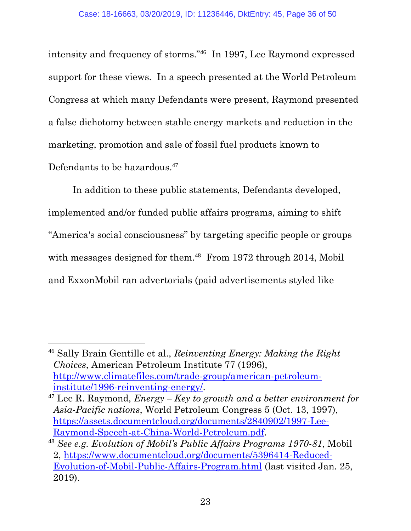intensity and frequency of storms."<sup>46</sup> In 1997, Lee Raymond expressed support for these views. In a speech presented at the World Petroleum Congress at which many Defendants were present, Raymond presented a false dichotomy between stable energy markets and reduction in the marketing, promotion and sale of fossil fuel products known to Defendants to be hazardous.<sup>47</sup>

In addition to these public statements, Defendants developed, implemented and/or funded public affairs programs, aiming to shift "America's social consciousness" by targeting specific people or groups with messages designed for them.<sup>48</sup> From 1972 through 2014, Mobil and ExxonMobil ran advertorials (paid advertisements styled like

l

<span id="page-35-2"></span><sup>46</sup> Sally Brain Gentille et al., *Reinventing Energy: Making the Right Choices*, American Petroleum Institute 77 (1996), [http://www.climatefiles.com/trade-group/american-petroleum](http://www.climatefiles.com/trade-group/american-petroleum-institute/1996-reinventing-energy/)[institute/1996-reinventing-energy/.](http://www.climatefiles.com/trade-group/american-petroleum-institute/1996-reinventing-energy/)

<span id="page-35-1"></span><sup>47</sup> Lee R. Raymond, *Energy – Key to growth and a better environment for Asia-Pacific nations*, World Petroleum Congress 5 (Oct. 13, 1997), [https://assets.documentcloud.org/documents/2840902/1997-Lee-](https://assets.documentcloud.org/documents/2840902/1997-Lee-Raymond-Speech-at-China-World-Petroleum.pdf)[Raymond-Speech-at-China-World-Petroleum.pdf.](https://assets.documentcloud.org/documents/2840902/1997-Lee-Raymond-Speech-at-China-World-Petroleum.pdf)

<span id="page-35-0"></span><sup>48</sup> *See e.g. Evolution of Mobil's Public Affairs Programs 1970-81*, Mobil 2, [https://www.documentcloud.org/documents/5396414-Reduced-](https://www.documentcloud.org/documents/5396414-Reduced-Evolution-of-Mobil-Public-Affairs-Program.html)[Evolution-of-Mobil-Public-Affairs-Program.html](https://www.documentcloud.org/documents/5396414-Reduced-Evolution-of-Mobil-Public-Affairs-Program.html) (last visited Jan. 25, 2019).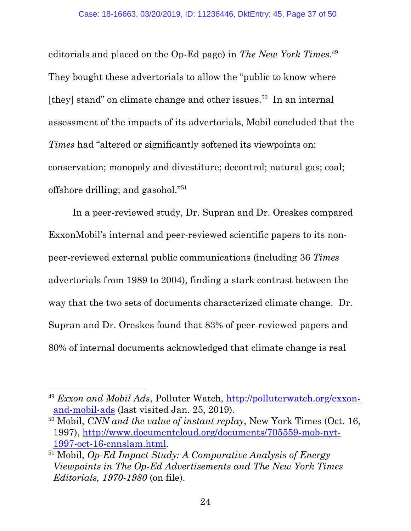editorials and placed on the Op-Ed page) in *The New York Times*. 49 They bought these advertorials to allow the "public to know where [they] stand" on climate change and other issues.<sup>50</sup> In an internal assessment of the impacts of its advertorials, Mobil concluded that the *Times* had "altered or significantly softened its viewpoints on: conservation; monopoly and divestiture; decontrol; natural gas; coal; offshore drilling; and gasohol."<sup>51</sup>

In a peer-reviewed study, Dr. Supran and Dr. Oreskes compared ExxonMobil's internal and peer-reviewed scientific papers to its nonpeer-reviewed external public communications (including 36 *Times* advertorials from 1989 to 2004), finding a stark contrast between the way that the two sets of documents characterized climate change. Dr. Supran and Dr. Oreskes found that 83% of peer-reviewed papers and 80% of internal documents acknowledged that climate change is real

<span id="page-36-0"></span><sup>&</sup>lt;sup>49</sup> *Exxon and Mobil Ads*, Polluter Watch, [http://polluterwatch.org/exxon](http://polluterwatch.org/exxon-and-mobil-ads)[and-mobil-ads](http://polluterwatch.org/exxon-and-mobil-ads) (last visited Jan. 25, 2019).

<span id="page-36-1"></span><sup>50</sup> Mobil, *CNN and the value of instant replay*, New York Times (Oct. 16, 1997), [http://www.documentcloud.org/documents/705559-mob-nyt-](http://www.documentcloud.org/documents/705559-mob-nyt-1997-oct-16-cnnslam.html)[1997-oct-16-cnnslam.html.](http://www.documentcloud.org/documents/705559-mob-nyt-1997-oct-16-cnnslam.html)

<span id="page-36-2"></span><sup>51</sup> Mobil, *Op-Ed Impact Study: A Comparative Analysis of Energy Viewpoints in The Op-Ed Advertisements and The New York Times Editorials, 1970-1980* (on file).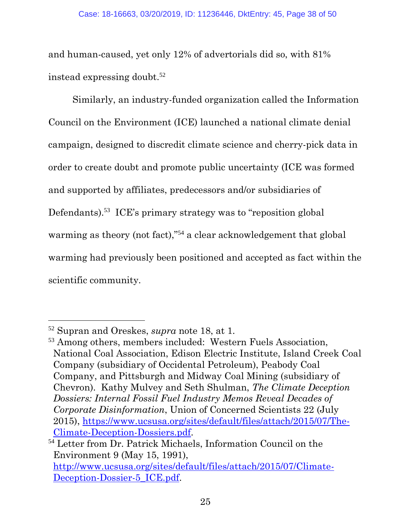and human-caused, yet only 12% of advertorials did so, with 81% instead expressing doubt.<sup>52</sup>

Similarly, an industry-funded organization called the Information Council on the Environment (ICE) launched a national climate denial campaign, designed to discredit climate science and cherry-pick data in order to create doubt and promote public uncertainty (ICE was formed and supported by affiliates, predecessors and/or subsidiaries of Defendants).<sup>53</sup> ICE's primary strategy was to "reposition global" warming as theory (not fact),"<sup>54</sup> a clear acknowledgement that global warming had previously been positioned and accepted as fact within the scientific community.

l

<span id="page-37-1"></span><sup>53</sup> Among others, members included: Western Fuels Association, National Coal Association, Edison Electric Institute, Island Creek Coal Company (subsidiary of Occidental Petroleum), Peabody Coal Company, and Pittsburgh and Midway Coal Mining (subsidiary of Chevron). Kathy Mulvey and Seth Shulman, *The Climate Deception Dossiers: Internal Fossil Fuel Industry Memos Reveal Decades of Corporate Disinformation*, Union of Concerned Scientists 22 (July 2015), [https://www.ucsusa.org/sites/default/files/attach/2015/07/The-](https://www.ucsusa.org/sites/default/files/attach/2015/07/The-Climate-Deception-Dossiers.pdf)[Climate-Deception-Dossiers.pdf.](https://www.ucsusa.org/sites/default/files/attach/2015/07/The-Climate-Deception-Dossiers.pdf)

<span id="page-37-0"></span><sup>52</sup> Supran and Oreskes, *supra* note 18, at 1.

<span id="page-37-2"></span><sup>54</sup> Letter from Dr. Patrick Michaels, Information Council on the Environment 9 (May 15, 1991),

[http://www.ucsusa.org/sites/default/files/attach/2015/07/Climate-](www.ucsusa.org/sites/default/files/attach/2015/07/Climate-Deception-Dossier-5_ICE.pdf)[Deception-Dossier-5\\_ICE.pdf.](www.ucsusa.org/sites/default/files/attach/2015/07/Climate-Deception-Dossier-5_ICE.pdf)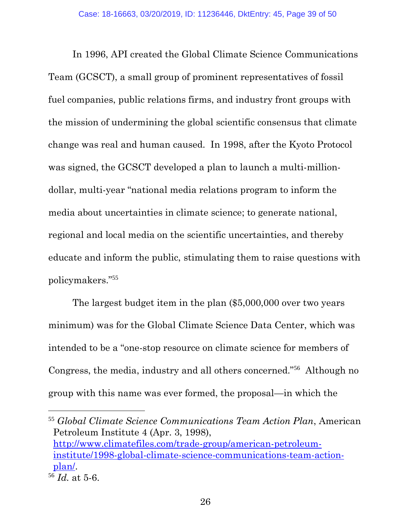In 1996, API created the Global Climate Science Communications Team (GCSCT), a small group of prominent representatives of fossil fuel companies, public relations firms, and industry front groups with the mission of undermining the global scientific consensus that climate change was real and human caused. In 1998, after the Kyoto Protocol was signed, the GCSCT developed a plan to launch a multi-milliondollar, multi-year "national media relations program to inform the media about uncertainties in climate science; to generate national, regional and local media on the scientific uncertainties, and thereby educate and inform the public, stimulating them to raise questions with policymakers."<sup>55</sup>

The largest budget item in the plan (\$5,000,000 over two years minimum) was for the Global Climate Science Data Center, which was intended to be a "one-stop resource on climate science for members of Congress, the media, industry and all others concerned."<sup>56</sup> Although no group with this name was ever formed, the proposal—in which the

<span id="page-38-0"></span> <sup>55</sup> *Global Climate Science Communications Team Action Plan*, American Petroleum Institute 4 (Apr. 3, 1998), [http://www.climatefiles.com/trade-group/american-petroleum](http://www.climatefiles.com/trade-group/american-petroleum-institute/1998-global-climate-science-communications-team-action-plan/)[institute/1998-global-climate-science-communications-team-action](http://www.climatefiles.com/trade-group/american-petroleum-institute/1998-global-climate-science-communications-team-action-plan/)[plan/.](http://www.climatefiles.com/trade-group/american-petroleum-institute/1998-global-climate-science-communications-team-action-plan/)

<sup>56</sup> *Id.* at 5-6.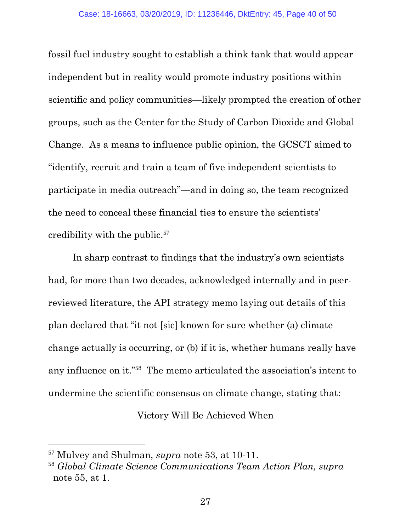fossil fuel industry sought to establish a think tank that would appear independent but in reality would promote industry positions within scientific and policy communities—likely prompted the creation of other groups, such as the Center for the Study of Carbon Dioxide and Global Change. As a means to influence public opinion, the GCSCT aimed to "identify, recruit and train a team of five independent scientists to participate in media outreach"—and in doing so, the team recognized the need to conceal these financial ties to ensure the scientists' credibility with the public.<sup>57</sup>

In sharp contrast to findings that the industry's own scientists had, for more than two decades, acknowledged internally and in peerreviewed literature, the API strategy memo laying out details of this plan declared that "it not [sic] known for sure whether (a) climate change actually is occurring, or (b) if it is, whether humans really have any influence on it."<sup>58</sup> The memo articulated the association's intent to undermine the scientific consensus on climate change, stating that:

#### Victory Will Be Achieved When

l

<span id="page-39-1"></span><sup>57</sup> Mulvey and Shulman, *supra* note 53, at 10-11.

<span id="page-39-0"></span><sup>58</sup> *Global Climate Science Communications Team Action Plan, supra* note 55, at 1.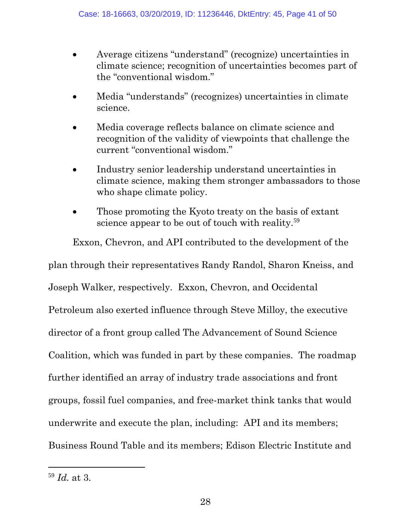- Average citizens "understand" (recognize) uncertainties in climate science; recognition of uncertainties becomes part of the "conventional wisdom."
- Media "understands" (recognizes) uncertainties in climate science.
- Media coverage reflects balance on climate science and recognition of the validity of viewpoints that challenge the current "conventional wisdom."
- Industry senior leadership understand uncertainties in climate science, making them stronger ambassadors to those who shape climate policy.
- Those promoting the Kyoto treaty on the basis of extant science appear to be out of touch with reality.<sup>59</sup>

Exxon, Chevron, and API contributed to the development of the plan through their representatives Randy Randol, Sharon Kneiss, and Joseph Walker, respectively. Exxon, Chevron, and Occidental Petroleum also exerted influence through Steve Milloy, the executive director of a front group called The Advancement of Sound Science Coalition, which was funded in part by these companies. The roadmap further identified an array of industry trade associations and front groups, fossil fuel companies, and free-market think tanks that would underwrite and execute the plan, including: API and its members; Business Round Table and its members; Edison Electric Institute and

<span id="page-40-0"></span><sup>59</sup> *Id.* at 3.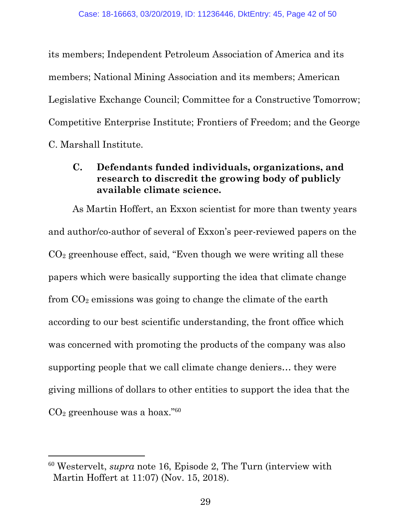its members; Independent Petroleum Association of America and its members; National Mining Association and its members; American Legislative Exchange Council; Committee for a Constructive Tomorrow; Competitive Enterprise Institute; Frontiers of Freedom; and the George C. Marshall Institute.

## <span id="page-41-0"></span>**C. Defendants funded individuals, organizations, and research to discredit the growing body of publicly available climate science.**

As Martin Hoffert, an Exxon scientist for more than twenty years and author/co-author of several of Exxon's peer-reviewed papers on the  $CO<sub>2</sub>$  greenhouse effect, said, "Even though we were writing all these papers which were basically supporting the idea that climate change from  $CO<sub>2</sub>$  emissions was going to change the climate of the earth according to our best scientific understanding, the front office which was concerned with promoting the products of the company was also supporting people that we call climate change deniers… they were giving millions of dollars to other entities to support the idea that the  $CO<sub>2</sub>$  greenhouse was a hoax."<sup>60</sup>

l

<sup>60</sup> Westervelt, *supra* note 16, Episode 2, The Turn (interview with Martin Hoffert at 11:07) (Nov. 15, 2018).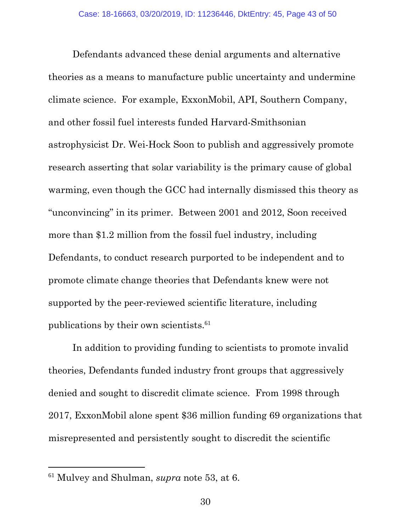Defendants advanced these denial arguments and alternative theories as a means to manufacture public uncertainty and undermine climate science. For example, ExxonMobil, API, Southern Company, and other fossil fuel interests funded Harvard-Smithsonian astrophysicist Dr. Wei-Hock Soon to publish and aggressively promote research asserting that solar variability is the primary cause of global warming, even though the GCC had internally dismissed this theory as "unconvincing" in its primer. Between 2001 and 2012, Soon received more than \$1.2 million from the fossil fuel industry, including Defendants, to conduct research purported to be independent and to promote climate change theories that Defendants knew were not supported by the peer-reviewed scientific literature, including publications by their own scientists.<sup>61</sup>

In addition to providing funding to scientists to promote invalid theories, Defendants funded industry front groups that aggressively denied and sought to discredit climate science. From 1998 through 2017, ExxonMobil alone spent \$36 million funding 69 organizations that misrepresented and persistently sought to discredit the scientific

<span id="page-42-0"></span><sup>61</sup> Mulvey and Shulman, *supra* note 53, at 6.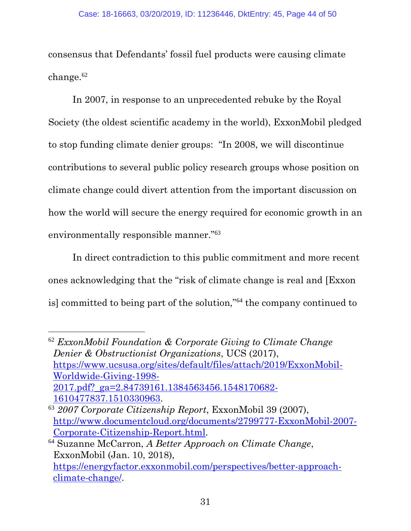consensus that Defendants' fossil fuel products were causing climate change. $62$ 

In 2007, in response to an unprecedented rebuke by the Royal Society (the oldest scientific academy in the world), ExxonMobil pledged to stop funding climate denier groups: "In 2008, we will discontinue contributions to several public policy research groups whose position on climate change could divert attention from the important discussion on how the world will secure the energy required for economic growth in an environmentally responsible manner."<sup>63</sup>

In direct contradiction to this public commitment and more recent ones acknowledging that the "risk of climate change is real and [Exxon is] committed to being part of the solution,"<sup>64</sup> the company continued to

<span id="page-43-1"></span><sup>62</sup> *ExxonMobil Foundation & Corporate Giving to Climate Change Denier & Obstructionist Organizations*, UCS (2017), [https://www.ucsusa.org/sites/default/files/attach/2019/ExxonMobil-](https://www.ucsusa.org/sites/default/files/attach/2019/ExxonMobil-Worldwide-Giving-1998-2017.pdf?_ga=2.84739161.1384563456.1548170682-1610477837.1510330963)[Worldwide-Giving-1998-](https://www.ucsusa.org/sites/default/files/attach/2019/ExxonMobil-Worldwide-Giving-1998-2017.pdf?_ga=2.84739161.1384563456.1548170682-1610477837.1510330963) [2017.pdf?\\_ga=2.84739161.1384563456.1548170682-](https://www.ucsusa.org/sites/default/files/attach/2019/ExxonMobil-Worldwide-Giving-1998-2017.pdf?_ga=2.84739161.1384563456.1548170682-1610477837.1510330963) [1610477837.1510330963.](https://www.ucsusa.org/sites/default/files/attach/2019/ExxonMobil-Worldwide-Giving-1998-2017.pdf?_ga=2.84739161.1384563456.1548170682-1610477837.1510330963) <sup>63</sup> *2007 Corporate Citizenship Report*, ExxonMobil 39 (2007),

l

<span id="page-43-0"></span>[http://www.documentcloud.org/documents/2799777-ExxonMobil-2007-](http://www.documentcloud.org/documents/2799777-ExxonMobil-2007-Corporate-Citizenship-Report.html) [Corporate-Citizenship-Report.html.](http://www.documentcloud.org/documents/2799777-ExxonMobil-2007-Corporate-Citizenship-Report.html)

<span id="page-43-2"></span><sup>64</sup> Suzanne McCarron, *A Better Approach on Climate Change*, ExxonMobil (Jan. 10, 2018), [https://energyfactor.exxonmobil.com/perspectives/better-approach](https://energyfactor.exxonmobil.com/perspectives/better-approach-climate-change/)[climate-change/.](https://energyfactor.exxonmobil.com/perspectives/better-approach-climate-change/)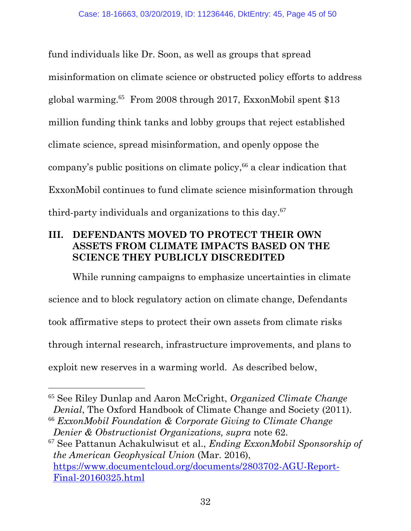fund individuals like Dr. Soon, as well as groups that spread misinformation on climate science or obstructed policy efforts to address global warming.<sup>65</sup> From 2008 through 2017, ExxonMobil spent \$13 million funding think tanks and lobby groups that reject established climate science, spread misinformation, and openly oppose the company's public positions on climate policy,<sup>66</sup> a clear indication that ExxonMobil continues to fund climate science misinformation through third-party individuals and organizations to this day.<sup>67</sup>

## <span id="page-44-0"></span>**III. DEFENDANTS MOVED TO PROTECT THEIR OWN ASSETS FROM CLIMATE IMPACTS BASED ON THE SCIENCE THEY PUBLICLY DISCREDITED**

While running campaigns to emphasize uncertainties in climate science and to block regulatory action on climate change, Defendants took affirmative steps to protect their own assets from climate risks through internal research, infrastructure improvements, and plans to exploit new reserves in a warming world. As described below,

<span id="page-44-2"></span>

<sup>67</sup> See Pattanun Achakulwisut et al., *Ending ExxonMobil Sponsorship of the American Geophysical Union* (Mar. 2016), [https://www.documentcloud.org/documents/2803702-AGU-Report-](https://www.documentcloud.org/documents/2803702-AGU-Report-Final-20160325.html)[Final-20160325.html](https://www.documentcloud.org/documents/2803702-AGU-Report-Final-20160325.html)

<sup>65</sup> See Riley Dunlap and Aaron McCright, *Organized Climate Change Denial*, The Oxford Handbook of Climate Change and Society (2011).

<span id="page-44-1"></span><sup>66</sup> *ExxonMobil Foundation & Corporate Giving to Climate Change Denier & Obstructionist Organizations, supra* note 62.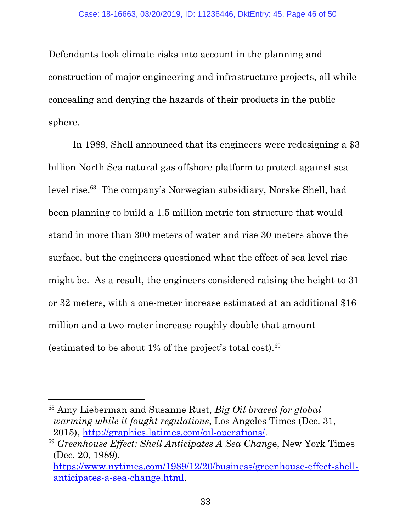Defendants took climate risks into account in the planning and construction of major engineering and infrastructure projects, all while concealing and denying the hazards of their products in the public sphere.

In 1989, Shell announced that its engineers were redesigning a \$3 billion North Sea natural gas offshore platform to protect against sea level rise.<sup>68</sup> The company's Norwegian subsidiary, Norske Shell, had been planning to build a 1.5 million metric ton structure that would stand in more than 300 meters of water and rise 30 meters above the surface, but the engineers questioned what the effect of sea level rise might be. As a result, the engineers considered raising the height to 31 or 32 meters, with a one-meter increase estimated at an additional \$16 million and a two-meter increase roughly double that amount (estimated to be about  $1\%$  of the project's total cost).<sup>69</sup>

<span id="page-45-0"></span> <sup>68</sup> Amy Lieberman and Susanne Rust, *Big Oil braced for global warming while it fought regulations*, Los Angeles Times (Dec. 31, 2015), [http://graphics.latimes.com/oil-operations/.](http://graphics.latimes.com/oil-operations/)

<span id="page-45-1"></span><sup>69</sup> *Greenhouse Effect: Shell Anticipates A Sea Chang*e, New York Times (Dec. 20, 1989),

[https://www.nytimes.com/1989/12/20/business/greenhouse-effect-shell](https://www.nytimes.com/1989/12/20/business/greenhouse-effect-shell-anticipates-a-sea-change.html)[anticipates-a-sea-change.html.](https://www.nytimes.com/1989/12/20/business/greenhouse-effect-shell-anticipates-a-sea-change.html)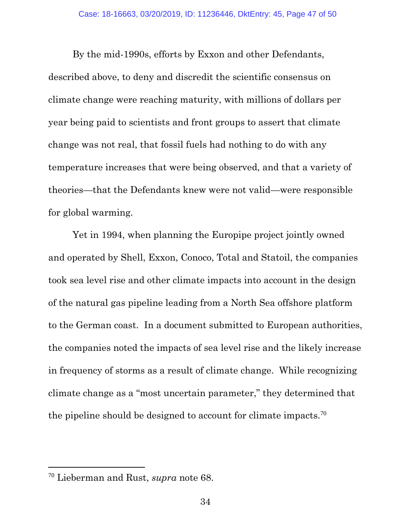By the mid-1990s, efforts by Exxon and other Defendants, described above, to deny and discredit the scientific consensus on climate change were reaching maturity, with millions of dollars per year being paid to scientists and front groups to assert that climate change was not real, that fossil fuels had nothing to do with any temperature increases that were being observed, and that a variety of theories—that the Defendants knew were not valid—were responsible for global warming.

Yet in 1994, when planning the Europipe project jointly owned and operated by Shell, Exxon, Conoco, Total and Statoil, the companies took sea level rise and other climate impacts into account in the design of the natural gas pipeline leading from a North Sea offshore platform to the German coast. In a document submitted to European authorities, the companies noted the impacts of sea level rise and the likely increase in frequency of storms as a result of climate change. While recognizing climate change as a "most uncertain parameter," they determined that the pipeline should be designed to account for climate impacts.<sup>70</sup>

<span id="page-46-0"></span><sup>70</sup> Lieberman and Rust, *supra* note 68.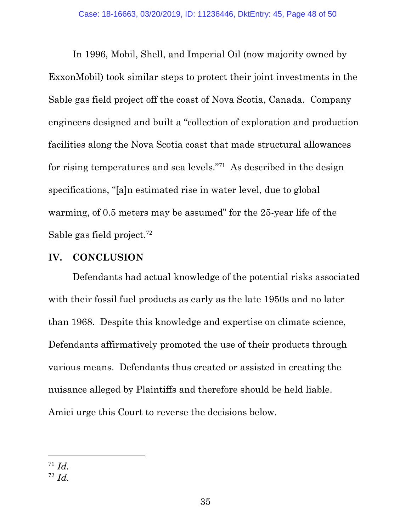In 1996, Mobil, Shell, and Imperial Oil (now majority owned by ExxonMobil) took similar steps to protect their joint investments in the Sable gas field project off the coast of Nova Scotia, Canada. Company engineers designed and built a "collection of exploration and production facilities along the Nova Scotia coast that made structural allowances for rising temperatures and sea levels."<sup>71</sup> As described in the design specifications, "[a]n estimated rise in water level, due to global warming, of 0.5 meters may be assumed" for the 25-year life of the Sable gas field project.<sup>72</sup>

#### <span id="page-47-0"></span>**IV. CONCLUSION**

Defendants had actual knowledge of the potential risks associated with their fossil fuel products as early as the late 1950s and no later than 1968. Despite this knowledge and expertise on climate science, Defendants affirmatively promoted the use of their products through various means. Defendants thus created or assisted in creating the nuisance alleged by Plaintiffs and therefore should be held liable. Amici urge this Court to reverse the decisions below.

 $\overline{a}$ 

<sup>71</sup> *Id.*

<span id="page-47-1"></span><sup>72</sup> *Id.*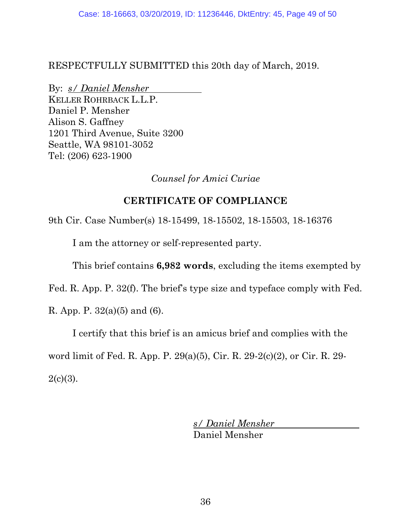RESPECTFULLY SUBMITTED this 20th day of March, 2019.

By: *s/ Daniel Mensher* KELLER ROHRBACK L.L.P. Daniel P. Mensher Alison S. Gaffney 1201 Third Avenue, Suite 3200 Seattle, WA 98101-3052 Tel: (206) 623-1900

*Counsel for Amici Curiae*

## **CERTIFICATE OF COMPLIANCE**

9th Cir. Case Number(s) 18-15499, 18-15502, 18-15503, 18-16376

I am the attorney or self-represented party.

This brief contains **6,982 words**, excluding the items exempted by

Fed. R. App. P. 32(f). The brief's type size and typeface comply with Fed.

R. App. P.  $32(a)(5)$  and (6).

I certify that this brief is an amicus brief and complies with the

word limit of Fed. R. App. P. 29(a)(5), Cir. R. 29-2(c)(2), or Cir. R. 29-  $2(c)(3)$ .

> *s/ Daniel Mensher* Daniel Mensher